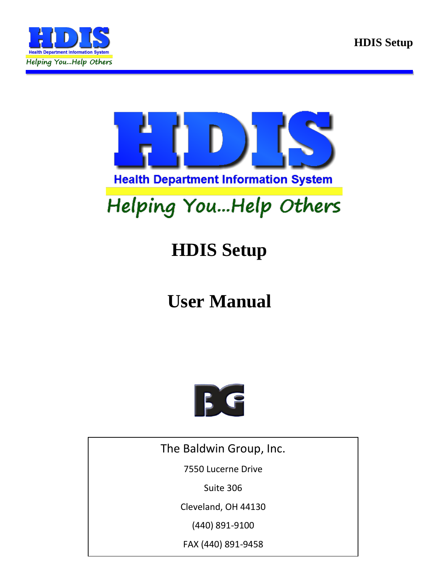



# Helping You...Help Others

## **HDIS Setup**

## **User Manual**



The Baldwin Group, Inc.

7550 Lucerne Drive

Suite 306

Cleveland, OH 44130

(440) 891-9100

FAX (440) 891-9458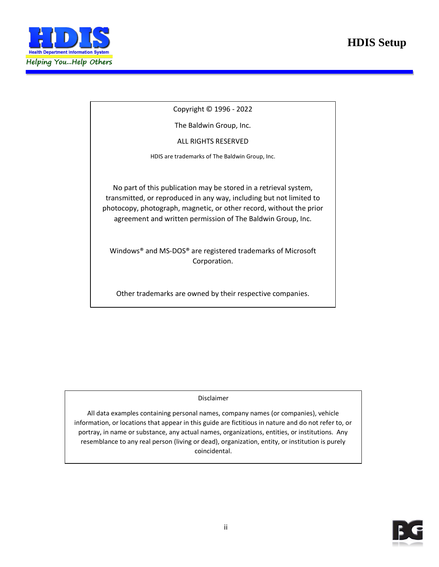#### **HDIS Setup**



Copyright © 1996 - 2022

The Baldwin Group, Inc.

ALL RIGHTS RESERVED

HDIS are trademarks of The Baldwin Group, Inc.

No part of this publication may be stored in a retrieval system, transmitted, or reproduced in any way, including but not limited to photocopy, photograph, magnetic, or other record, without the prior agreement and written permission of The Baldwin Group, Inc.

Windows® and MS-DOS® are registered trademarks of Microsoft Corporation.

Other trademarks are owned by their respective companies.

**THE FURNISH** POST OF THE FURNISHING, PERFORMANCE, OR USE OF THE PURISHING, OR USE OF THE PURISHING OF THE PURISHING OF THE PURISHING OF THE PURISHING OF THE PURISHING OF THE PURISHING OF THE PURISHING OF THE PURISHING OF THE MATERIAL SERVICE.

All data examples containing personal names, company names (or companies), vehicle information, or locations that appear in this guide are fictitious in nature and do not refer to, or portray, in name or substance, any actual names, organizations, entities, or institutions. Any resemblance to any real person (living or dead), organization, entity, or institution is purely coincidental.

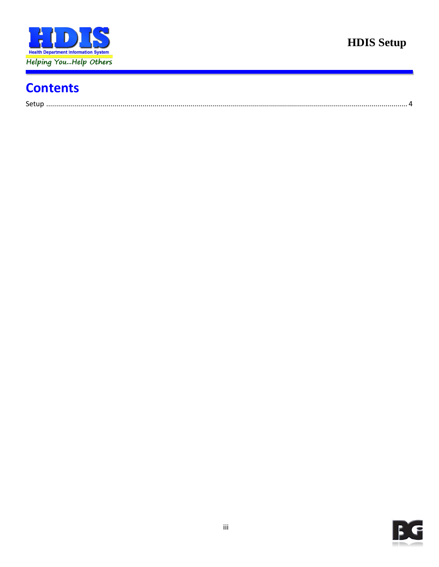

### **Contents**

| $\sim$ |  |
|--------|--|